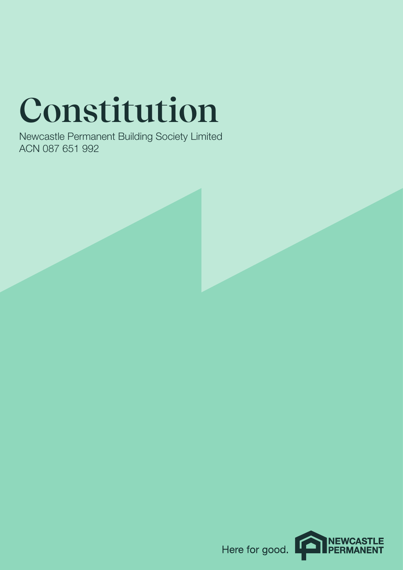# **Constitution**

Newcastle Permanent Building Society Limited ACN 087 651 992

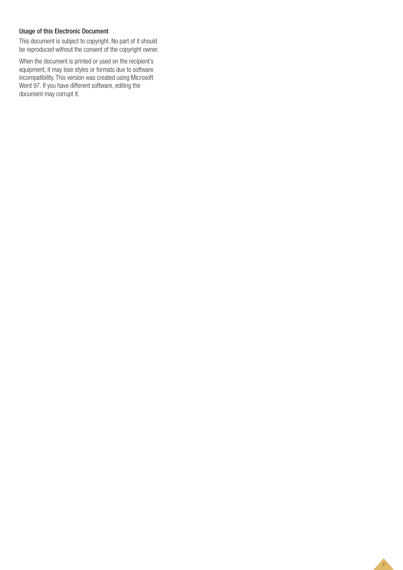# Usage of this Electronic Document

This document is subject to copyright. No part of it should be reproduced without the consent of the copyright owner.

When the document is printed or used on the recipient's equipment, it may lose styles or formats due to software incompatibility. This version was created using Microsoft Word 97. If you have different software, editing the document may corrupt it.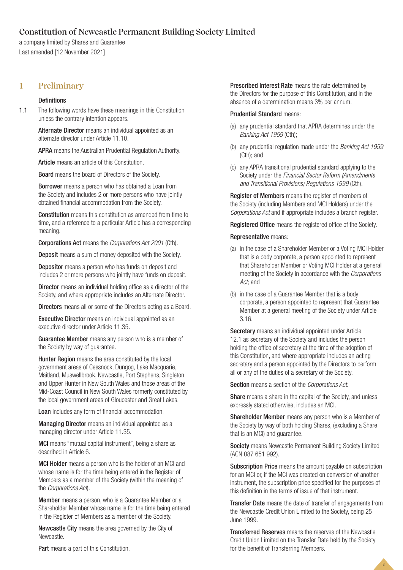# **Constitution of Newcastle Permanent Building Society Limited**

a company limited by Shares and Guarantee Last amended [12 November 2021]

# **1 Preliminary**

## Definitions

1.1 The following words have these meanings in this Constitution unless the contrary intention appears.

> Alternate Director means an individual appointed as an alternate director under Article 11.10.

APRA means the Australian Prudential Regulation Authority.

Article means an article of this Constitution.

Board means the board of Directors of the Society.

Borrower means a person who has obtained a Loan from the Society and includes 2 or more persons who have jointly obtained financial accommodation from the Society.

Constitution means this constitution as amended from time to time, and a reference to a particular Article has a corresponding meaning.

Corporations Act means the *Corporations Act 2001* (Cth).

Deposit means a sum of money deposited with the Society.

Depositor means a person who has funds on deposit and includes 2 or more persons who jointly have funds on deposit.

Director means an individual holding office as a director of the Society, and where appropriate includes an Alternate Director.

Directors means all or some of the Directors acting as a Board.

Executive Director means an individual appointed as an executive director under Article 11.35.

Guarantee Member means any person who is a member of the Society by way of guarantee.

Hunter Region means the area constituted by the local government areas of Cessnock, Dungog, Lake Macquarie, Maitland, Muswellbrook, Newcastle, Port Stephens, Singleton and Upper Hunter in New South Wales and those areas of the Mid-Coast Council in New South Wales formerly constituted by the local government areas of Gloucester and Great Lakes.

Loan includes any form of financial accommodation.

Managing Director means an individual appointed as a managing director under Article 11.35.

MCI means "mutual capital instrument", being a share as described in Article 6.

MCI Holder means a person who is the holder of an MCI and whose name is for the time being entered in the Register of Members as a member of the Society (within the meaning of the *Corporations Act*).

Member means a person, who is a Guarantee Member or a Shareholder Member whose name is for the time being entered in the Register of Members as a member of the Society.

Newcastle City means the area governed by the City of Newcastle.

Part means a part of this Constitution.

Prescribed Interest Rate means the rate determined by the Directors for the purpose of this Constitution, and in the absence of a determination means 3% per annum.

# Prudential Standard means:

- (a) any prudential standard that APRA determines under the *Banking Act 1959* (Cth);
- (b) any prudential regulation made under the *Banking Act 1959*  (Cth); and
- (c) any APRA transitional prudential standard applying to the Society under the *Financial Sector Reform (Amendments and Transitional Provisions) Regulations 1999* (Cth).

Register of Members means the register of members of the Society (including Members and MCI Holders) under the *Corporations Act* and if appropriate includes a branch register.

Registered Office means the registered office of the Society.

## Representative means:

- (a) in the case of a Shareholder Member or a Voting MCI Holder that is a body corporate, a person appointed to represent that Shareholder Member or Voting MCI Holder at a general meeting of the Society in accordance with the *Corporations Act*; and
- (b) in the case of a Guarantee Member that is a body corporate, a person appointed to represent that Guarantee Member at a general meeting of the Society under Article 3.16.

Secretary means an individual appointed under Article 12.1 as secretary of the Society and includes the person holding the office of secretary at the time of the adoption of this Constitution, and where appropriate includes an acting secretary and a person appointed by the Directors to perform all or any of the duties of a secretary of the Society.

Section means a section of the *Corporations Act*.

Share means a share in the capital of the Society, and unless expressly stated otherwise, includes an MCI.

Shareholder Member means any person who is a Member of the Society by way of both holding Shares, (excluding a Share that is an MCI) and guarantee.

Society means Newcastle Permanent Building Society Limited (ACN 087 651 992).

Subscription Price means the amount payable on subscription for an MCI or, if the MCI was created on conversion of another instrument, the subscription price specified for the purposes of this definition in the terms of issue of that instrument.

Transfer Date means the date of transfer of engagements from the Newcastle Credit Union Limited to the Society, being 25 June 1999.

Transferred Reserves means the reserves of the Newcastle Credit Union Limited on the Transfer Date held by the Society for the benefit of Transferring Members.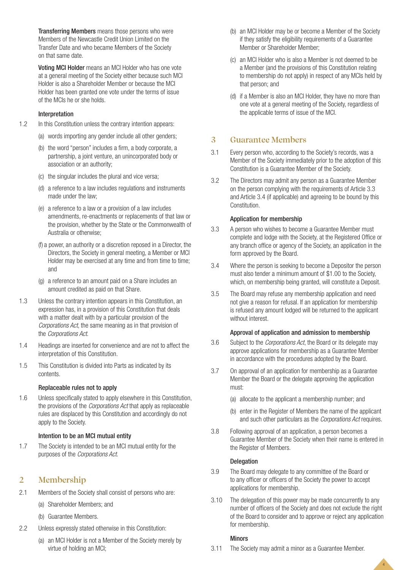Transferring Members means those persons who were Members of the Newcastle Credit Union Limited on the Transfer Date and who became Members of the Society on that same date.

Voting MCI Holder means an MCI Holder who has one vote at a general meeting of the Society either because such MCI Holder is also a Shareholder Member or because the MCI Holder has been granted one vote under the terms of issue of the MCIs he or she holds.

## Interpretation

- 1.2 In this Constitution unless the contrary intention appears:
	- (a) words importing any gender include all other genders;
	- (b) the word "person" includes a firm, a body corporate, a partnership, a joint venture, an unincorporated body or association or an authority;
	- (c) the singular includes the plural and vice versa;
	- (d) a reference to a law includes regulations and instruments made under the law;
	- (e) a reference to a law or a provision of a law includes amendments, re-enactments or replacements of that law or the provision, whether by the State or the Commonwealth of Australia or otherwise;
	- (f) a power, an authority or a discretion reposed in a Director, the Directors, the Society in general meeting, a Member or MCI Holder may be exercised at any time and from time to time; and
	- (g) a reference to an amount paid on a Share includes an amount credited as paid on that Share.
- 1.3 Unless the contrary intention appears in this Constitution, an expression has, in a provision of this Constitution that deals with a matter dealt with by a particular provision of the *Corporations Act*, the same meaning as in that provision of the *Corporations Act*.
- 1.4 Headings are inserted for convenience and are not to affect the interpretation of this Constitution.
- 1.5 This Constitution is divided into Parts as indicated by its contents.

## Replaceable rules not to apply

1.6 Unless specifically stated to apply elsewhere in this Constitution, the provisions of the *Corporations Act* that apply as replaceable rules are displaced by this Constitution and accordingly do not apply to the Society.

## Intention to be an MCI mutual entity

1.7 The Society is intended to be an MCI mutual entity for the purposes of the *Corporations Act*.

# **2 Membership**

- 2.1 Members of the Society shall consist of persons who are:
	- (a) Shareholder Members; and
	- (b) Guarantee Members.
- 2.2 Unless expressly stated otherwise in this Constitution:
	- (a) an MCI Holder is not a Member of the Society merely by virtue of holding an MCI;
- (b) an MCI Holder may be or become a Member of the Society if they satisfy the eligibility requirements of a Guarantee Member or Shareholder Member;
- (c) an MCI Holder who is also a Member is not deemed to be a Member (and the provisions of this Constitution relating to membership do not apply) in respect of any MCIs held by that person; and
- (d) if a Member is also an MCI Holder, they have no more than one vote at a general meeting of the Society, regardless of the applicable terms of issue of the MCI.

# **3 Guarantee Members**

- 3.1 Every person who, according to the Society's records, was a Member of the Society immediately prior to the adoption of this Constitution is a Guarantee Member of the Society.
- 3.2 The Directors may admit any person as a Guarantee Member on the person complying with the requirements of Article 3.3 and Article 3.4 (if applicable) and agreeing to be bound by this Constitution.

## Application for membership

- 3.3 A person who wishes to become a Guarantee Member must complete and lodge with the Society, at the Registered Office or any branch office or agency of the Society, an application in the form approved by the Board.
- 3.4 Where the person is seeking to become a Depositor the person must also tender a minimum amount of \$1.00 to the Society, which, on membership being granted, will constitute a Deposit.
- 3.5 The Board may refuse any membership application and need not give a reason for refusal. If an application for membership is refused any amount lodged will be returned to the applicant without interest.

#### Approval of application and admission to membership

- 3.6 Subject to the *Corporations Act*, the Board or its delegate may approve applications for membership as a Guarantee Member in accordance with the procedures adopted by the Board.
- 3.7 On approval of an application for membership as a Guarantee Member the Board or the delegate approving the application must:
	- (a) allocate to the applicant a membership number; and
	- (b) enter in the Register of Members the name of the applicant and such other particulars as the *Corporations Act* requires.
- 3.8 Following approval of an application, a person becomes a Guarantee Member of the Society when their name is entered in the Register of Members.

## Delegation

- 3.9 The Board may delegate to any committee of the Board or to any officer or officers of the Society the power to accept applications for membership.
- 3.10 The delegation of this power may be made concurrently to any number of officers of the Society and does not exclude the right of the Board to consider and to approve or reject any application for membership.

4

## **Minors**

3.11 The Society may admit a minor as a Guarantee Member.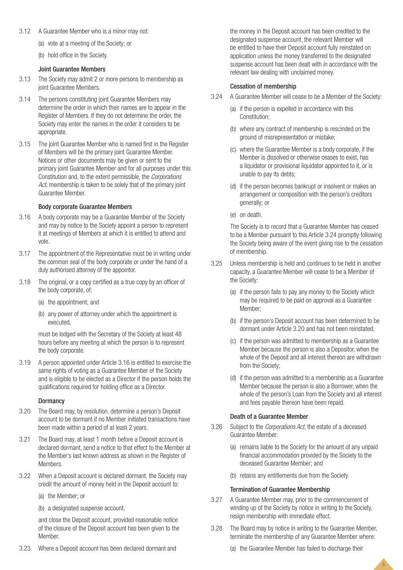- 3.12 A Guarantee Member who is a minor may not:
	- (a) vote at a meeting of the Society; or
	- (b) hold office in the Society.

## Joint Guarantee Members

- 3.13 The Society may admit 2 or more persons to membership as joint Guarantee Members.
- 3.14 The persons constituting joint Guarantee Members may determine the order in which their names are to appear in the Register of Members. If they do not determine the order, the Society may enter the names in the order it considers to be appropriate.
- 3.15 The joint Guarantee Member who is named first in the Register of Members will be the primary joint Guarantee Member. Notices or other documents may be given or sent to the primary joint Guarantee Member and for all purposes under this Constitution and, to the extent permissible, the *Corporations Act*, membership is taken to be solely that of the primary joint Guarantee Member.

## Body corporate Guarantee Members

- 3.16 A body corporate may be a Guarantee Member of the Society and may by notice to the Society appoint a person to represent it at meetings of Members at which it is entitled to attend and vote.
- 3.17 The appointment of the Representative must be in writing under the common seal of the body corporate or under the hand of a duly authorised attorney of the appointor.
- 3.18 The original, or a copy certified as a true copy by an officer of the body corporate, of:
	- (a) the appointment; and
	- (b) any power of attorney under which the appointment is executed,

must be lodged with the Secretary of the Society at least 48 hours before any meeting at which the person is to represent the body corporate.

3.19 A person appointed under Article 3.16 is entitled to exercise the same rights of voting as a Guarantee Member of the Society and is eligible to be elected as a Director if the person holds the qualifications required for holding office as a Director.

#### **Dormancy**

- 3.20 The Board may, by resolution, determine a person's Deposit account to be dormant if no Member initiated transactions have been made within a period of at least 2 years.
- 3.21 The Board may, at least 1 month before a Deposit account is declared dormant, send a notice to that effect to the Member at the Member's last known address as shown in the Register of Members.
- 3.22 When a Deposit account is declared dormant, the Society may credit the amount of money held in the Deposit account to:
	- (a) the Member; or
	- (b) a designated suspense account,

and close the Deposit account, provided reasonable notice of the closure of the Deposit account has been given to the Member.

3.23 Where a Deposit account has been declared dormant and

the money in the Deposit account has been credited to the designated suspense account, the relevant Member will be entitled to have their Deposit account fully reinstated on application unless the money transferred to the designated suspense account has been dealt with in accordance with the relevant law dealing with unclaimed money.

## Cessation of membership

- 3.24 A Guarantee Member will cease to be a Member of the Society:
	- (a) if the person is expelled in accordance with this Constitution;
	- (b) where any contract of membership is rescinded on the ground of misrepresentation or mistake;
	- (c) where the Guarantee Member is a body corporate, if the Member is dissolved or otherwise ceases to exist, has a liquidator or provisional liquidator appointed to it, or is unable to pay its debts;
	- (d) if the person becomes bankrupt or insolvent or makes an arrangement or composition with the person's creditors generally; or
	- (e) on death.

The Society is to record that a Guarantee Member has ceased to be a Member pursuant to this Article 3.24 promptly following the Society being aware of the event giving rise to the cessation of membership.

- 3.25 Unless membership is held and continues to be held in another capacity, a Guarantee Member will cease to be a Member of the Society:
	- (a) if the person fails to pay any money to the Society which may be required to be paid on approval as a Guarantee Member;
	- (b) if the person's Deposit account has been determined to be dormant under Article 3.20 and has not been reinstated;
	- (c) if the person was admitted to membership as a Guarantee Member because the person is also a Depositor, when the whole of the Deposit and all interest thereon are withdrawn from the Society;
	- (d) if the person was admitted to a membership as a Guarantee Member because the person is also a Borrower, when the whole of the person's Loan from the Society and all interest and fees payable thereon have been repaid.

#### Death of a Guarantee Member

- 3.26 Subject to the *Corporations Act*, the estate of a deceased Guarantee Member:
	- (a) remains liable to the Society for the amount of any unpaid financial accommodation provided by the Society to the deceased Guarantee Member; and
	- (b) retains any entitlements due from the Society.

## Termination of Guarantee Membership

- 3.27 A Guarantee Member may, prior to the commencement of winding up of the Society by notice in writing to the Society, resign membership with immediate effect.
- 3.28 The Board may by notice in writing to the Guarantee Member, terminate the membership of any Guarantee Member where:
	- (a) the Guarantee Member has failed to discharge their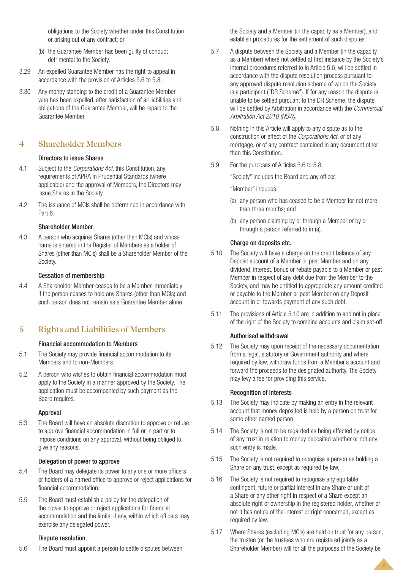obligations to the Society whether under this Constitution or arising out of any contract; or

- (b) the Guarantee Member has been guilty of conduct detrimental to the Society.
- 3.29 An expelled Guarantee Member has the right to appeal in accordance with the provision of Articles 5.6 to 5.8.
- 3.30 Any money standing to the credit of a Guarantee Member who has been expelled, after satisfaction of all liabilities and obligations of the Guarantee Member, will be repaid to the Guarantee Member.

# **4 Shareholder Members**

## Directors to issue Shares

- 4.1 Subject to the *Corporations Act*, this Constitution, any requirements of APRA in Prudential Standards (where applicable) and the approval of Members, the Directors may issue Shares in the Society.
- 4.2 The issuance of MCIs shall be determined in accordance with Part 6.

## Shareholder Member

4.3 A person who acquires Shares (other than MCIs) and whose name is entered in the Register of Members as a holder of Shares (other than MCIs) shall be a Shareholder Member of the Society.

## Cessation of membership

4.4 A Shareholder Member ceases to be a Member immediately if the person ceases to hold any Shares (other than MCIs) and such person does not remain as a Guarantee Member alone.

# **5 Rights and Liabilities of Members**

## Financial accommodation to Members

- 5.1 The Society may provide financial accommodation to its Members and to non-Members.
- 5.2 A person who wishes to obtain financial accommodation must apply to the Society in a manner approved by the Society. The application must be accompanied by such payment as the Board requires.

## Approval

5.3 The Board will have an absolute discretion to approve or refuse to approve financial accommodation in full or in part or to impose conditions on any approval, without being obliged to give any reasons.

# Delegation of power to approve

- 5.4 The Board may delegate its power to any one or more officers or holders of a named office to approve or reject applications for financial accommodation.
- 5.5 The Board must establish a policy for the delegation of the power to approve or reject applications for financial accommodation and the limits, if any, within which officers may exercise any delegated power.

## Dispute resolution

5.6 The Board must appoint a person to settle disputes between

the Society and a Member (in the capacity as a Member), and establish procedures for the settlement of such disputes.

- 5.7 A dispute between the Society and a Member (in the capacity as a Member) where not settled at first instance by the Society's internal procedures referred to in Article 5.6, will be settled in accordance with the dispute resolution process pursuant to any approved dispute resolution scheme of which the Society is a participant ("DR Scheme"). If for any reason the dispute is unable to be settled pursuant to the DR Scheme, the dispute will be settled by Arbitration in accordance with the *Commercial Arbitration Act 2010 (NSW)*.
- 5.8 Nothing in this Article will apply to any dispute as to the construction or effect of the *Corporations Act*, or of any mortgage, or of any contract contained in any document other than this Constitution.
- 5.9 For the purposes of Articles 5.6 to 5.8:

"Society" includes the Board and any officer;

"Member" includes:

- (a) any person who has ceased to be a Member for not more than three months; and
- (b) any person claiming by or through a Member or by or through a person referred to in (a).

## Charge on deposits etc.

- 5.10 The Society will have a charge on the credit balance of any Deposit account of a Member or past Member and on any dividend, interest, bonus or rebate payable to a Member or past Member in respect of any debt due from the Member to the Society, and may be entitled to appropriate any amount credited or payable to the Member or past Member on any Deposit account in or towards payment of any such debt.
- 5.11 The provisions of Article 5.10 are in addition to and not in place of the right of the Society to combine accounts and claim set-off.

## Authorised withdrawal

5.12 The Society may upon receipt of the necessary documentation from a legal, statutory or Government authority and where required by law, withdraw funds from a Member's account and forward the proceeds to the designated authority. The Society may levy a fee for providing this service.

## Recognition of interests

- 5.13 The Society may indicate by making an entry in the relevant account that money deposited is held by a person on trust for some other named person.
- 5.14 The Society is not to be regarded as being affected by notice of any trust in relation to money deposited whether or not any such entry is made.
- 5.15 The Society is not required to recognise a person as holding a Share on any trust, except as required by law.
- 5.16 The Society is not required to recognise any equitable, contingent, future or partial interest in any Share or unit of a Share or any other right in respect of a Share except an absolute right of ownership in the registered holder, whether or not it has notice of the interest or right concerned, except as required by law.
- 5.17 Where Shares (excluding MCIs) are held on trust for any person, the trustee (or the trustees who are registered jointly as a Shareholder Member) will for all the purposes of the Society be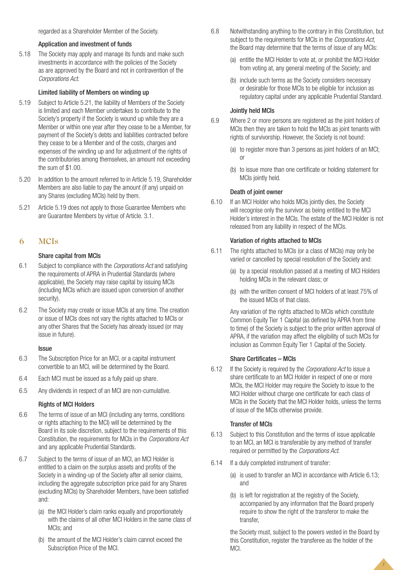# Application and investment of funds

5.18 The Society may apply and manage its funds and make such investments in accordance with the policies of the Society as are approved by the Board and not in contravention of the *Corporations Act*.

# Limited liability of Members on winding up

- 5.19 Subject to Article 5.21, the liability of Members of the Society is limited and each Member undertakes to contribute to the Society's property if the Society is wound up while they are a Member or within one year after they cease to be a Member, for payment of the Society's debts and liabilities contracted before they cease to be a Member and of the costs, charges and expenses of the winding up and for adjustment of the rights of the contributories among themselves, an amount not exceeding the sum of \$1.00.
- 5.20 In addition to the amount referred to in Article 5.19, Shareholder Members are also liable to pay the amount (if any) unpaid on any Shares (excluding MCIs) held by them.
- 5.21 Article 5.19 does not apply to those Guarantee Members who are Guarantee Members by virtue of Article. 3.1.

# **6 MCIs**

# Share capital from MCIs

- 6.1 Subject to compliance with the *Corporations Act* and satisfying the requirements of APRA in Prudential Standards (where applicable), the Society may raise capital by issuing MCIs (including MCIs which are issued upon conversion of another security).
- 6.2 The Society may create or issue MCIs at any time. The creation or issue of MCIs does not vary the rights attached to MCIs or any other Shares that the Society has already issued (or may issue in future).

# **Issue**

- 6.3 The Subscription Price for an MCI, or a capital instrument convertible to an MCI, will be determined by the Board.
- 6.4 Each MCI must be issued as a fully paid up share.
- 6.5 Any dividends in respect of an MCI are non-cumulative.

# Rights of MCI Holders

- 6.6 The terms of issue of an MCI (including any terms, conditions or rights attaching to the MCI) will be determined by the Board in its sole discretion, subject to the requirements of this Constitution, the requirements for MCIs in the *Corporations Act* and any applicable Prudential Standards.
- 6.7 Subject to the terms of issue of an MCI, an MCI Holder is entitled to a claim on the surplus assets and profits of the Society in a winding-up of the Society after all senior claims, including the aggregate subscription price paid for any Shares (excluding MCIs) by Shareholder Members, have been satisfied and:
	- (a) the MCI Holder's claim ranks equally and proportionately with the claims of all other MCI Holders in the same class of MCIs; and
	- (b) the amount of the MCI Holder's claim cannot exceed the Subscription Price of the MCI.
- 6.8 Notwithstanding anything to the contrary in this Constitution, but subject to the requirements for MCIs in the *Corporations Act*, the Board may determine that the terms of issue of any MCIs:
	- (a) entitle the MCI Holder to vote at, or prohibit the MCI Holder from voting at, any general meeting of the Society; and
	- (b) include such terms as the Society considers necessary or desirable for those MCIs to be eligible for inclusion as regulatory capital under any applicable Prudential Standard.

# Jointly held MCIs

- 6.9 Where 2 or more persons are registered as the joint holders of MCIs then they are taken to hold the MCIs as joint tenants with rights of survivorship. However, the Society is not bound:
	- (a) to register more than 3 persons as joint holders of an MCI; or
	- (b) to issue more than one certificate or holding statement for MCIs jointly held.

# Death of joint owner

6.10 If an MCI Holder who holds MCIs jointly dies, the Society will recognise only the survivor as being entitled to the MCI Holder's interest in the MCIs. The estate of the MCI Holder is not released from any liability in respect of the MCIs.

# Variation of rights attached to MCIs

- 6.11 The rights attached to MCIs (or a class of MCIs) may only be varied or cancelled by special resolution of the Society and:
	- (a) by a special resolution passed at a meeting of MCI Holders holding MCIs in the relevant class; or
	- (b) with the written consent of MCI holders of at least 75% of the issued MCIs of that class.

Any variation of the rights attached to MCIs which constitute Common Equity Tier 1 Capital (as defined by APRA from time to time) of the Society is subject to the prior written approval of APRA, if the variation may affect the eligibility of such MCIs for inclusion as Common Equity Tier 1 Capital of the Society.

# Share Certificates – MCIs

6.12 If the Society is required by the *Corporations Act* to issue a share certificate to an MCI Holder in respect of one or more MCIs, the MCI Holder may require the Society to issue to the MCI Holder without charge one certificate for each class of MCIs in the Society that the MCI Holder holds, unless the terms of issue of the MCIs otherwise provide.

# Transfer of MCIs

- 6.13 Subject to this Constitution and the terms of issue applicable to an MCI, an MCI is transferable by any method of transfer required or permitted by the *Corporations Act*.
- 6.14 If a duly completed instrument of transfer:
	- (a) is used to transfer an MCI in accordance with Article 6.13; and
	- (b) is left for registration at the registry of the Society, accompanied by any information that the Board properly require to show the right of the transferor to make the transfer,

the Society must, subject to the powers vested in the Board by this Constitution, register the transferee as the holder of the MCI.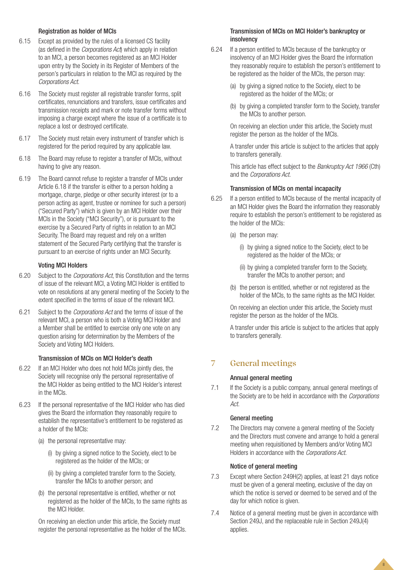# Registration as holder of MCIs

- 6.15 Except as provided by the rules of a licensed CS facility (as defined in the *Corporations Act*) which apply in relation to an MCI, a person becomes registered as an MCI Holder upon entry by the Society in its Register of Members of the person's particulars in relation to the MCI as required by the *Corporations Act*.
- 6.16 The Society must register all registrable transfer forms, split certificates, renunciations and transfers, issue certificates and transmission receipts and mark or note transfer forms without imposing a charge except where the issue of a certificate is to replace a lost or destroyed certificate.
- 6.17 The Society must retain every instrument of transfer which is registered for the period required by any applicable law.
- 6.18 The Board may refuse to register a transfer of MCIs, without having to give any reason.
- 6.19 The Board cannot refuse to register a transfer of MCIs under Article 6.18 if the transfer is either to a person holding a mortgage, charge, pledge or other security interest (or to a person acting as agent, trustee or nominee for such a person) ("Secured Party") which is given by an MCI Holder over their MCIs in the Society ("MCI Security"), or is pursuant to the exercise by a Secured Party of rights in relation to an MCI Security. The Board may request and rely on a written statement of the Secured Party certifying that the transfer is pursuant to an exercise of rights under an MCI Security.

## Voting MCI Holders

- 6.20 Subject to the *Corporations Act*, this Constitution and the terms of issue of the relevant MCI, a Voting MCI Holder is entitled to vote on resolutions at any general meeting of the Society to the extent specified in the terms of issue of the relevant MCI.
- 6.21 Subject to the *Corporations Act* and the terms of issue of the relevant MCI, a person who is both a Voting MCI Holder and a Member shall be entitled to exercise only one vote on any question arising for determination by the Members of the Society and Voting MCI Holders.

## Transmission of MCIs on MCI Holder's death

- 6.22 If an MCI Holder who does not hold MCIs jointly dies, the Society will recognise only the personal representative of the MCI Holder as being entitled to the MCI Holder's interest in the MCIs.
- 6.23 If the personal representative of the MCI Holder who has died gives the Board the information they reasonably require to establish the representative's entitlement to be registered as a holder of the MCIs:
	- (a) the personal representative may:
		- (i) by giving a signed notice to the Society, elect to be registered as the holder of the MCIs; or
		- (ii) by giving a completed transfer form to the Society, transfer the MCIs to another person; and
	- (b) the personal representative is entitled, whether or not registered as the holder of the MCIs, to the same rights as the MCI Holder.

On receiving an election under this article, the Society must register the personal representative as the holder of the MCIs.

## Transmission of MCIs on MCI Holder's bankruptcy or insolvency

- 6.24 If a person entitled to MCIs because of the bankruptcy or insolvency of an MCI Holder gives the Board the information they reasonably require to establish the person's entitlement to be registered as the holder of the MCIs, the person may:
	- (a) by giving a signed notice to the Society, elect to be registered as the holder of the MCIs; or
	- (b) by giving a completed transfer form to the Society, transfer the MCIs to another person.

On receiving an election under this article, the Society must register the person as the holder of the MCIs.

A transfer under this article is subject to the articles that apply to transfers generally.

This article has effect subject to the *Bankruptcy Act 1966* (Cth) and the *Corporations Act*.

## Transmission of MCIs on mental incapacity

- 6.25 If a person entitled to MCIs because of the mental incapacity of an MCI Holder gives the Board the information they reasonably require to establish the person's entitlement to be registered as the holder of the MCIs:
	- (a) the person may:
		- (i) by giving a signed notice to the Society, elect to be registered as the holder of the MCIs; or
		- (ii) by giving a completed transfer form to the Society, transfer the MCIs to another person; and
	- (b) the person is entitled, whether or not registered as the holder of the MCIs, to the same rights as the MCI Holder.

On receiving an election under this article, the Society must register the person as the holder of the MCIs.

A transfer under this article is subject to the articles that apply to transfers generally.

# **7 General meetings**

## Annual general meeting

7.1 If the Society is a public company, annual general meetings of the Society are to be held in accordance with the *Corporations Act*.

## General meeting

7.2 The Directors may convene a general meeting of the Society and the Directors must convene and arrange to hold a general meeting when requisitioned by Members and/or Voting MCI Holders in accordance with the *Corporations Act*.

## Notice of general meeting

- 7.3 Except where Section 249H(2) applies, at least 21 days notice must be given of a general meeting, exclusive of the day on which the notice is served or deemed to be served and of the day for which notice is given.
- 7.4 Notice of a general meeting must be given in accordance with Section 249J, and the replaceable rule in Section 249J(4) applies.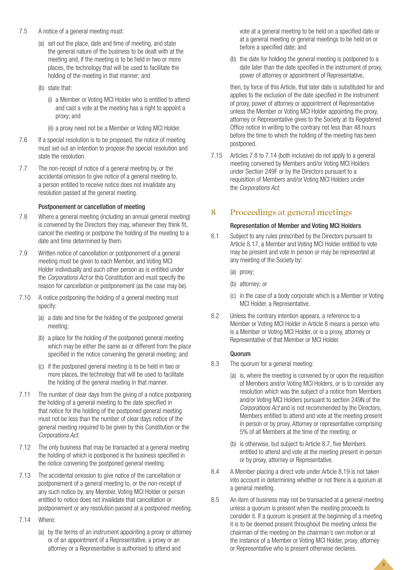- 7.5 A notice of a general meeting must:
	- (a) set out the place, date and time of meeting, and state the general nature of the business to be dealt with at the meeting and, if the meeting is to be held in two or more places, the technology that will be used to facilitate the holding of the meeting in that manner; and
	- (b) state that:
		- (i) a Member or Voting MCI Holder who is entitled to attend and cast a vote at the meeting has a right to appoint a proxy; and
		- (ii) a proxy need not be a Member or Voting MCI Holder.
- 7.6 If a special resolution is to be proposed, the notice of meeting must set out an intention to propose the special resolution and state the resolution.
- 7.7 The non-receipt of notice of a general meeting by, or the accidental omission to give notice of a general meeting to, a person entitled to receive notice does not invalidate any resolution passed at the general meeting.

# Postponement or cancellation of meeting

- 7.8 Where a general meeting (including an annual general meeting) is convened by the Directors they may, whenever they think fit, cancel the meeting or postpone the holding of the meeting to a date and time determined by them.
- 7.9 Written notice of cancellation or postponement of a general meeting must be given to each Member, and Voting MCI Holder individually and such other person as is entitled under the *Corporations Act* or this Constitution and must specify the reason for cancellation or postponement (as the case may be).
- 7.10 A notice postponing the holding of a general meeting must specify:
	- (a) a date and time for the holding of the postponed general meeting;
	- (b) a place for the holding of the postponed general meeting which may be either the same as or different from the place specified in the notice convening the general meeting; and
	- (c) if the postponed general meeting is to be held in two or more places, the technology that will be used to facilitate the holding of the general meeting in that manner.
- 7.11 The number of clear days from the giving of a notice postponing the holding of a general meeting to the date specified in that notice for the holding of the postponed general meeting must not be less than the number of clear days notice of the general meeting required to be given by this Constitution or the *Corporations Act*.
- 7.12 The only business that may be transacted at a general meeting the holding of which is postponed is the business specified in the notice convening the postponed general meeting.
- 7.13 The accidental omission to give notice of the cancellation or postponement of a general meeting to, or the non-receipt of any such notice by, any Member, Voting MCI Holder or person entitled to notice does not invalidate that cancellation or postponement or any resolution passed at a postponed meeting.
- 7.14 Where:
	- (a) by the terms of an instrument appointing a proxy or attorney or of an appointment of a Representative, a proxy or an attorney or a Representative is authorised to attend and

vote at a general meeting to be held on a specified date or at a general meeting or general meetings to be held on or before a specified date; and

(b) the date for holding the general meeting is postponed to a date later than the date specified in the instrument of proxy, power of attorney or appointment of Representative,

then, by force of this Article, that later date is substituted for and applies to the exclusion of the date specified in the instrument of proxy, power of attorney or appointment of Representative unless the Member or Voting MCI Holder appointing the proxy, attorney or Representative gives to the Society at its Registered Office notice in writing to the contrary not less than 48 hours before the time to which the holding of the meeting has been postponed.

7.15 Articles 7.8 to 7.14 (both inclusive) do not apply to a general meeting convened by Members and/or Voting MCI Holders under Section 249F or by the Directors pursuant to a requisition of Members and/or Voting MCI Holders under the *Corporations Act*.

# **8 Proceedings at general meetings**

# Representation of Member and Voting MCI Holders

- 8.1 Subject to any rules prescribed by the Directors pursuant to Article 8.17, a Member and Voting MCI Holder entitled to vote may be present and vote in person or may be represented at any meeting of the Society by:
	- (a) proxy;
	- (b) attorney; or
	- (c) in the case of a body corporate which is a Member or Voting MCI Holder, a Representative.
- 8.2 Unless the contrary intention appears, a reference to a Member or Voting MCI Holder in Article 8 means a person who is a Member or Voting MCI Holder, or is a proxy, attorney or Representative of that Member or MCI Holder.

# Quorum

- 8.3 The quorum for a general meeting:
	- (a) is, where the meeting is convened by or upon the requisition of Members and/or Voting MCI Holders, or is to consider any resolution which was the subject of a notice from Members and/or Voting MCI Holders pursuant to section 249N of the *Corporations Act* and is not recommended by the Directors, Members entitled to attend and vote at the meeting present in person or by proxy, Attorney or representative comprising 5% of all Members at the time of the meeting; or
	- (b) is otherwise, but subject to Article 8.7, five Members entitled to attend and vote at the meeting present in person or by proxy, attorney or Representative.
- 8.4 A Member placing a direct vote under Article 8.19 is not taken into account in determining whether or not there is a quorum at a general meeting.
- 8.5 An item of business may not be transacted at a general meeting unless a quorum is present when the meeting proceeds to consider it. If a quorum is present at the beginning of a meeting it is to be deemed present throughout the meeting unless the chairman of the meeting on the chairman's own motion or at the instance of a Member or Voting MCI Holder, proxy, attorney or Representative who is present otherwise declares.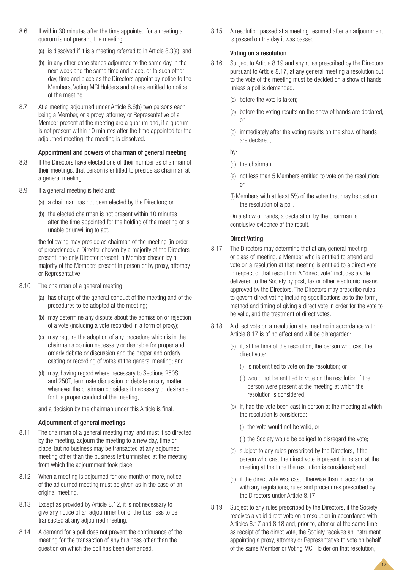- 8.6 If within 30 minutes after the time appointed for a meeting a quorum is not present, the meeting:
	- (a) is dissolved if it is a meeting referred to in Article 8.3(a); and
	- (b) in any other case stands adjourned to the same day in the next week and the same time and place, or to such other day, time and place as the Directors appoint by notice to the Members, Voting MCI Holders and others entitled to notice of the meeting.
- 8.7 At a meeting adjourned under Article 8.6(b) two persons each being a Member, or a proxy, attorney or Representative of a Member present at the meeting are a quorum and, if a quorum is not present within 10 minutes after the time appointed for the adjourned meeting, the meeting is dissolved.

# Appointment and powers of chairman of general meeting

- 8.8 If the Directors have elected one of their number as chairman of their meetings, that person is entitled to preside as chairman at a general meeting.
- 8.9 If a general meeting is held and:
	- (a) a chairman has not been elected by the Directors; or
	- (b) the elected chairman is not present within 10 minutes after the time appointed for the holding of the meeting or is unable or unwilling to act,

the following may preside as chairman of the meeting (in order of precedence): a Director chosen by a majority of the Directors present; the only Director present; a Member chosen by a majority of the Members present in person or by proxy, attorney or Representative.

- 8.10 The chairman of a general meeting:
	- (a) has charge of the general conduct of the meeting and of the procedures to be adopted at the meeting;
	- (b) may determine any dispute about the admission or rejection of a vote (including a vote recorded in a form of proxy);
	- (c) may require the adoption of any procedure which is in the chairman's opinion necessary or desirable for proper and orderly debate or discussion and the proper and orderly casting or recording of votes at the general meeting; and
	- (d) may, having regard where necessary to Sections 250S and 250T, terminate discussion or debate on any matter whenever the chairman considers it necessary or desirable for the proper conduct of the meeting,

and a decision by the chairman under this Article is final.

# Adjournment of general meetings

- 8.11 The chairman of a general meeting may, and must if so directed by the meeting, adjourn the meeting to a new day, time or place, but no business may be transacted at any adjourned meeting other than the business left unfinished at the meeting from which the adjournment took place.
- 8.12 When a meeting is adjourned for one month or more, notice of the adjourned meeting must be given as in the case of an original meeting.
- 8.13 Except as provided by Article 8.12, it is not necessary to give any notice of an adjournment or of the business to be transacted at any adjourned meeting.
- 8.14 A demand for a poll does not prevent the continuance of the meeting for the transaction of any business other than the question on which the poll has been demanded.

8.15 A resolution passed at a meeting resumed after an adjournment is passed on the day it was passed.

## Voting on a resolution

- 8.16 Subject to Article 8.19 and any rules prescribed by the Directors pursuant to Article 8.17, at any general meeting a resolution put to the vote of the meeting must be decided on a show of hands unless a poll is demanded:
	- (a) before the vote is taken;
	- (b) before the voting results on the show of hands are declared; or
	- (c) immediately after the voting results on the show of hands are declared,

by:

- (d) the chairman;
- (e) not less than 5 Members entitled to vote on the resolution; or
- (f)Members with at least 5% of the votes that may be cast on the resolution of a poll.

On a show of hands, a declaration by the chairman is conclusive evidence of the result.

# Direct Voting

- 8.17 The Directors may determine that at any general meeting or class of meeting, a Member who is entitled to attend and vote on a resolution at that meeting is entitled to a direct vote in respect of that resolution. A "direct vote" includes a vote delivered to the Society by post, fax or other electronic means approved by the Directors. The Directors may prescribe rules to govern direct voting including specifications as to the form, method and timing of giving a direct vote in order for the vote to be valid, and the treatment of direct votes.
- 8.18 A direct vote on a resolution at a meeting in accordance with Article 8.17 is of no effect and will be disregarded:
	- (a) if, at the time of the resolution, the person who cast the direct vote:
		- (i) is not entitled to vote on the resolution; or
		- (ii) would not be entitled to vote on the resolution if the person were present at the meeting at which the resolution is considered;
	- (b) if, had the vote been cast in person at the meeting at which the resolution is considered:
		- (i) the vote would not be valid; or
		- (ii) the Society would be obliged to disregard the vote;
	- (c) subject to any rules prescribed by the Directors, if the person who cast the direct vote is present in person at the meeting at the time the resolution is considered; and
	- (d) if the direct vote was cast otherwise than in accordance with any regulations, rules and procedures prescribed by the Directors under Article 8.17.
- 8.19 Subject to any rules prescribed by the Directors, if the Society receives a valid direct vote on a resolution in accordance with Articles 8.17 and 8.18 and, prior to, after or at the same time as receipt of the direct vote, the Society receives an instrument appointing a proxy, attorney or Representative to vote on behalf of the same Member or Voting MCI Holder on that resolution,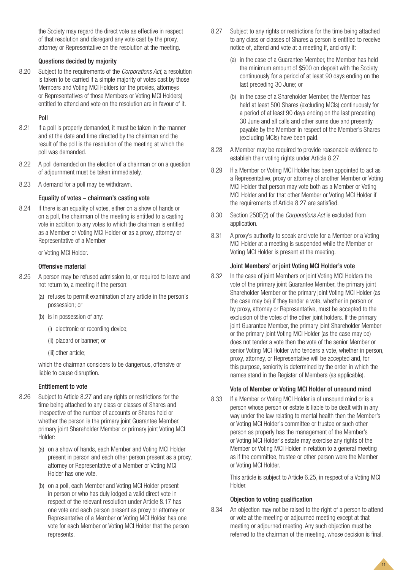the Society may regard the direct vote as effective in respect of that resolution and disregard any vote cast by the proxy, attorney or Representative on the resolution at the meeting.

## Questions decided by majority

8.20 Subject to the requirements of the *Corporations Act*, a resolution is taken to be carried if a simple majority of votes cast by those Members and Voting MCI Holders (or the proxies, attorneys or Representatives of those Members or Voting MCI Holders) entitled to attend and vote on the resolution are in favour of it.

## Poll

- 8.21 If a poll is properly demanded, it must be taken in the manner and at the date and time directed by the chairman and the result of the poll is the resolution of the meeting at which the poll was demanded.
- 8.22 A poll demanded on the election of a chairman or on a question of adjournment must be taken immediately.
- 8.23 A demand for a poll may be withdrawn.

## Equality of votes – chairman's casting vote

8.24 If there is an equality of votes, either on a show of hands or on a poll, the chairman of the meeting is entitled to a casting vote in addition to any votes to which the chairman is entitled as a Member or Voting MCI Holder or as a proxy, attorney or Representative of a Member

or Voting MCI Holder.

## Offensive material

- 8.25 A person may be refused admission to, or required to leave and not return to, a meeting if the person:
	- (a) refuses to permit examination of any article in the person's possession; or
	- (b) is in possession of any:
		- (i) electronic or recording device;
		- (ii) placard or banner; or
		- (iii) other article;

which the chairman considers to be dangerous, offensive or liable to cause disruption.

## Entitlement to vote

- 8.26 Subject to Article 8.27 and any rights or restrictions for the time being attached to any class or classes of Shares and irrespective of the number of accounts or Shares held or whether the person is the primary joint Guarantee Member, primary joint Shareholder Member or primary joint Voting MCI Holder:
	- (a) on a show of hands, each Member and Voting MCI Holder present in person and each other person present as a proxy, attorney or Representative of a Member or Voting MCI Holder has one vote.
	- (b) on a poll, each Member and Voting MCI Holder present in person or who has duly lodged a valid direct vote in respect of the relevant resolution under Article 8.17 has one vote and each person present as proxy or attorney or Representative of a Member or Voting MCI Holder has one vote for each Member or Voting MCI Holder that the person represents.
- 8.27 Subject to any rights or restrictions for the time being attached to any class or classes of Shares a person is entitled to receive notice of, attend and vote at a meeting if, and only if:
	- (a) in the case of a Guarantee Member, the Member has held the minimum amount of \$500 on deposit with the Society continuously for a period of at least 90 days ending on the last preceding 30 June; or
	- (b) in the case of a Shareholder Member, the Member has held at least 500 Shares (excluding MCIs) continuously for a period of at least 90 days ending on the last preceding 30 June and all calls and other sums due and presently payable by the Member in respect of the Member's Shares (excluding MCIs) have been paid.
- 8.28 A Member may be required to provide reasonable evidence to establish their voting rights under Article 8.27.
- 8.29 If a Member or Voting MCI Holder has been appointed to act as a Representative, proxy or attorney of another Member or Voting MCI Holder that person may vote both as a Member or Voting MCI Holder and for that other Member or Voting MCI Holder if the requirements of Article 8.27 are satisfied.
- 8.30 Section 250E(2) of the *Corporations Act* is excluded from application.
- 8.31 A proxy's authority to speak and vote for a Member or a Voting MCI Holder at a meeting is suspended while the Member or Voting MCI Holder is present at the meeting.

## Joint Members' or joint Voting MCI Holder's vote

8.32 In the case of joint Members or joint Voting MCI Holders the vote of the primary joint Guarantee Member, the primary joint Shareholder Member or the primary joint Voting MCI Holder (as the case may be) if they tender a vote, whether in person or by proxy, attorney or Representative, must be accepted to the exclusion of the votes of the other joint holders. If the primary joint Guarantee Member, the primary joint Shareholder Member or the primary joint Voting MCI Holder (as the case may be) does not tender a vote then the vote of the senior Member or senior Voting MCI Holder who tenders a vote, whether in person, proxy, attorney, or Representative will be accepted and, for this purpose, seniority is determined by the order in which the names stand in the Register of Members (as applicable).

## Vote of Member or Voting MCI Holder of unsound mind

8.33 If a Member or Voting MCI Holder is of unsound mind or is a person whose person or estate is liable to be dealt with in any way under the law relating to mental health then the Member's or Voting MCI Holder's committee or trustee or such other person as properly has the management of the Member's or Voting MCI Holder's estate may exercise any rights of the Member or Voting MCI Holder in relation to a general meeting as if the committee, trustee or other person were the Member or Voting MCI Holder.

> This article is subject to Article 6.25, in respect of a Voting MCI Holder.

> > 11

## Objection to voting qualification

8.34 An objection may not be raised to the right of a person to attend or vote at the meeting or adjourned meeting except at that meeting or adjourned meeting. Any such objection must be referred to the chairman of the meeting, whose decision is final.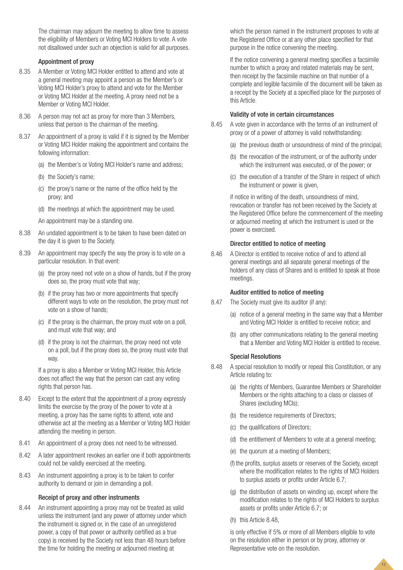The chairman may adjourn the meeting to allow time to assess the eligibility of Members or Voting MCI Holders to vote. A vote not disallowed under such an objection is valid for all purposes.

#### Appointment of proxy

- 8.35 A Member or Voting MCI Holder entitled to attend and vote at a general meeting may appoint a person as the Member's or Voting MCI Holder's proxy to attend and vote for the Member or Voting MCI Holder at the meeting. A proxy need not be a Member or Voting MCI Holder.
- 8.36 A person may not act as proxy for more than 3 Members, unless that person is the chairman of the meeting.
- 8.37 An appointment of a proxy is valid if it is signed by the Member or Voting MCI Holder making the appointment and contains the following information:
	- (a) the Member's or Voting MCI Holder's name and address;
	- (b) the Society's name;
	- (c) the proxy's name or the name of the office held by the proxy; and
	- (d) the meetings at which the appointment may be used.
	- An appointment may be a standing one.
- 8.38 An undated appointment is to be taken to have been dated on the day it is given to the Society.
- 8.39 An appointment may specify the way the proxy is to vote on a particular resolution. In that event:
	- (a) the proxy need not vote on a show of hands, but if the proxy does so, the proxy must vote that way;
	- (b) if the proxy has two or more appointments that specify different ways to vote on the resolution, the proxy must not vote on a show of hands;
	- (c) if the proxy is the chairman, the proxy must vote on a poll, and must vote that way; and
	- (d) if the proxy is not the chairman, the proxy need not vote on a poll, but if the proxy does so, the proxy must vote that way.

If a proxy is also a Member or Voting MCI Holder, this Article does not affect the way that the person can cast any voting rights that person has.

- 8.40 Except to the extent that the appointment of a proxy expressly limits the exercise by the proxy of the power to vote at a meeting, a proxy has the same rights to attend, vote and otherwise act at the meeting as a Member or Voting MCI Holder attending the meeting in person.
- 8.41 An appointment of a proxy does not need to be witnessed.
- 8.42 A later appointment revokes an earlier one if both appointments could not be validly exercised at the meeting.
- 8.43 An instrument appointing a proxy is to be taken to confer authority to demand or join in demanding a poll.

## Receipt of proxy and other instruments

8.44 An instrument appointing a proxy may not be treated as valid unless the instrument (and any power of attorney under which the instrument is signed or, in the case of an unregistered power, a copy of that power or authority certified as a true copy) is received by the Society not less than 48 hours before the time for holding the meeting or adjourned meeting at

which the person named in the instrument proposes to vote at the Registered Office or at any other place specified for that purpose in the notice convening the meeting.

If the notice convening a general meeting specifies a facsimile number to which a proxy and related materials may be sent, then receipt by the facsimile machine on that number of a complete and legible facsimile of the document will be taken as a receipt by the Society at a specified place for the purposes of this Article.

## Validity of vote in certain circumstances

- 8.45 A vote given in accordance with the terms of an instrument of proxy or of a power of attorney is valid notwithstanding:
	- (a) the previous death or unsoundness of mind of the principal;
	- (b) the revocation of the instrument, or of the authority under which the instrument was executed, or of the power; or
	- (c) the execution of a transfer of the Share in respect of which the instrument or power is given,

if notice in writing of the death, unsoundness of mind, revocation or transfer has not been received by the Society at the Registered Office before the commencement of the meeting or adjourned meeting at which the instrument is used or the power is exercised.

#### Director entitled to notice of meeting

8.46 A Director is entitled to receive notice of and to attend all general meetings and all separate general meetings of the holders of any class of Shares and is entitled to speak at those meetings.

#### Auditor entitled to notice of meeting

- 8.47 The Society must give its auditor (if any):
	- (a) notice of a general meeting in the same way that a Member and Voting MCI Holder is entitled to receive notice; and
	- (b) any other communications relating to the general meeting that a Member and Voting MCI Holder is entitled to receive.

#### Special Resolutions

- 8.48 A special resolution to modify or repeal this Constitution, or any Article relating to:
	- (a) the rights of Members, Guarantee Members or Shareholder Members or the rights attaching to a class or classes of Shares (excluding MCIs);
	- (b) the residence requirements of Directors;
	- (c) the qualifications of Directors;
	- (d) the entitlement of Members to vote at a general meeting;
	- (e) the quorum at a meeting of Members;
	- (f) the profits, surplus assets or reserves of the Society, except where the modification relates to the rights of MCI Holders to surplus assets or profits under Article 6.7;
	- (g) the distribution of assets on winding up, except where the modification relates to the rights of MCI Holders to surplus assets or profits under Article 6.7; or
	- (h) this Article 8.48,

is only effective if 5% or more of all Members eligible to vote on the resolution either in person or by proxy, attorney or Representative vote on the resolution.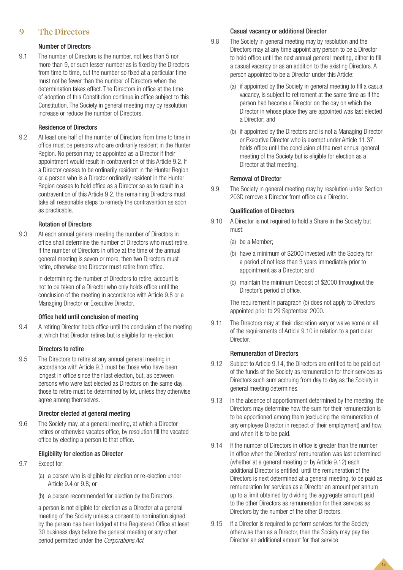# **9 The Directors**

# Number of Directors

9.1 The number of Directors is the number, not less than 5 nor more than 9, or such lesser number as is fixed by the Directors from time to time, but the number so fixed at a particular time must not be fewer than the number of Directors when the determination takes effect. The Directors in office at the time of adoption of this Constitution continue in office subject to this Constitution. The Society in general meeting may by resolution increase or reduce the number of Directors.

# Residence of Directors

9.2 At least one half of the number of Directors from time to time in office must be persons who are ordinarily resident in the Hunter Region. No person may be appointed as a Director if their appointment would result in contravention of this Article 9.2. If a Director ceases to be ordinarily resident in the Hunter Region or a person who is a Director ordinarily resident in the Hunter Region ceases to hold office as a Director so as to result in a contravention of this Article 9.2, the remaining Directors must take all reasonable steps to remedy the contravention as soon as practicable.

# Rotation of Directors

9.3 At each annual general meeting the number of Directors in office shall determine the number of Directors who must retire. If the number of Directors in office at the time of the annual general meeting is seven or more, then two Directors must retire, otherwise one Director must retire from office.

> In determining the number of Directors to retire, account is not to be taken of a Director who only holds office until the conclusion of the meeting in accordance with Article 9.8 or a Managing Director or Executive Director.

# Office held until conclusion of meeting

9.4 A retiring Director holds office until the conclusion of the meeting at which that Director retires but is eligible for re-election.

# Directors to retire

9.5 The Directors to retire at any annual general meeting in accordance with Article 9.3 must be those who have been longest in office since their last election, but, as between persons who were last elected as Directors on the same day, those to retire must be determined by lot, unless they otherwise agree among themselves.

# Director elected at general meeting

9.6 The Society may, at a general meeting, at which a Director retires or otherwise vacates office, by resolution fill the vacated office by electing a person to that office.

# Eligibility for election as Director

- 9.7 Except for:
	- (a) a person who is eligible for election or re-election under Article 9.4 or 9.8; or
	- (b) a person recommended for election by the Directors,

a person is not eligible for election as a Director at a general meeting of the Society unless a consent to nomination signed by the person has been lodged at the Registered Office at least 30 business days before the general meeting or any other period permitted under the *Corporations Act*.

# Casual vacancy or additional Director

- 9.8 The Society in general meeting may by resolution and the Directors may at any time appoint any person to be a Director to hold office until the next annual general meeting, either to fill a casual vacancy or as an addition to the existing Directors. A person appointed to be a Director under this Article:
	- (a) if appointed by the Society in general meeting to fill a casual vacancy, is subject to retirement at the same time as if the person had become a Director on the day on which the Director in whose place they are appointed was last elected a Director; and
	- (b) if appointed by the Directors and is not a Managing Director or Executive Director who is exempt under Article 11.37, holds office until the conclusion of the next annual general meeting of the Society but is eligible for election as a Director at that meeting.

# Removal of Director

9.9 The Society in general meeting may by resolution under Section 203D remove a Director from office as a Director.

# Qualification of Directors

- 9.10 A Director is not required to hold a Share in the Society but must:
	- (a) be a Member;
	- (b) have a minimum of \$2000 invested with the Society for a period of not less than 3 years immediately prior to appointment as a Director; and
	- (c) maintain the minimum Deposit of \$2000 throughout the Director's period of office.

The requirement in paragraph (b) does not apply to Directors appointed prior to 29 September 2000.

9.11 The Directors may at their discretion vary or waive some or all of the requirements of Article 9.10 in relation to a particular Director.

# Remuneration of Directors

- 9.12 Subject to Article 9.14, the Directors are entitled to be paid out of the funds of the Society as remuneration for their services as Directors such sum accruing from day to day as the Society in general meeting determines.
- 9.13 In the absence of apportionment determined by the meeting, the Directors may determine how the sum for their remuneration is to be apportioned among them (excluding the remuneration of any employee Director in respect of their employment) and how and when it is to be paid.
- 9.14 If the number of Directors in office is greater than the number in office when the Directors' remuneration was last determined (whether at a general meeting or by Article 9.12) each additional Director is entitled, until the remuneration of the Directors is next determined at a general meeting, to be paid as remuneration for services as a Director an amount per annum up to a limit obtained by dividing the aggregate amount paid to the other Directors as remuneration for their services as Directors by the number of the other Directors.
- 9.15 If a Director is required to perform services for the Society otherwise than as a Director, then the Society may pay the Director an additional amount for that service.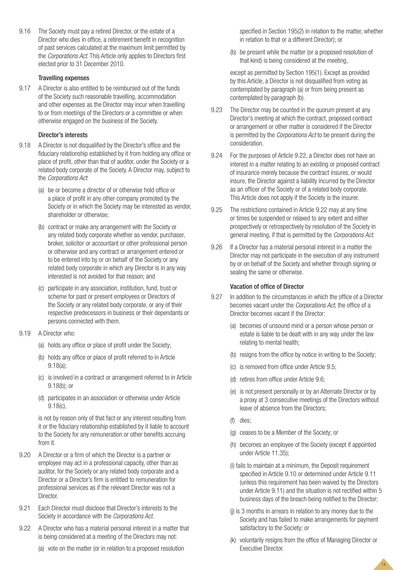9.16 The Society must pay a retired Director, or the estate of a Director who dies in office, a retirement benefit in recognition of past services calculated at the maximum limit permitted by the *Corporations Act*. This Article only applies to Directors first elected prior to 31 December 2010.

## Travelling expenses

9.17 A Director is also entitled to be reimbursed out of the funds of the Society such reasonable travelling, accommodation and other expenses as the Director may incur when travelling to or from meetings of the Directors or a committee or when otherwise engaged on the business of the Society.

## Director's interests

- 9.18 A Director is not disqualified by the Director's office and the fiduciary relationship established by it from holding any office or place of profit, other than that of auditor, under the Society or a related body corporate of the Society. A Director may, subject to the *Corporations Act*:
	- (a) be or become a director of or otherwise hold office or a place of profit in any other company promoted by the Society or in which the Society may be interested as vendor, shareholder or otherwise;
	- (b) contract or make any arrangement with the Society or any related body corporate whether as vendor, purchaser, broker, solicitor or accountant or other professional person or otherwise and any contract or arrangement entered or to be entered into by or on behalf of the Society or any related body corporate in which any Director is in any way interested is not avoided for that reason; and
	- (c) participate in any association, institution, fund, trust or scheme for past or present employees or Directors of the Society or any related body corporate, or any of their respective predecessors in business or their dependants or persons connected with them.
- 9.19 A Director who:
	- (a) holds any office or place of profit under the Society;
	- (b) holds any office or place of profit referred to in Article 9.18(a);
	- (c) is involved in a contract or arrangement referred to in Article 9.18(b); or
	- (d) participates in an association or otherwise under Article 9.18(c),

is not by reason only of that fact or any interest resulting from it or the fiduciary relationship established by it liable to account to the Society for any remuneration or other benefits accruing from it.

- 9.20 A Director or a firm of which the Director is a partner or employee may act in a professional capacity, other than as auditor, for the Society or any related body corporate and a Director or a Director's firm is entitled to remuneration for professional services as if the relevant Director was not a **Director**
- 9.21 Each Director must disclose that Director's interests to the Society in accordance with the *Corporations Act.*
- 9.22 A Director who has a material personal interest in a matter that is being considered at a meeting of the Directors may not:
	- (a) vote on the matter (or in relation to a proposed resolution

specified in Section 195(2) in relation to the matter, whether in relation to that or a different Director); or

(b) be present while the matter (or a proposed resolution of that kind) is being considered at the meeting,

except as permitted by Section 195(1). Except as provided by this Article, a Director is not disqualified from voting as contemplated by paragraph (a) or from being present as contemplated by paragraph (b).

- 9.23 The Director may be counted in the quorum present at any Director's meeting at which the contract, proposed contract or arrangement or other matter is considered if the Director is permitted by the *Corporations Act* to be present during the consideration.
- 9.24 For the purposes of Article 9.22, a Director does not have an interest in a matter relating to an existing or proposed contract of insurance merely because the contract insures, or would insure, the Director against a liability incurred by the Director as an officer of the Society or of a related body corporate. This Article does not apply if the Society is the insurer.
- 9.25 The restrictions contained in Article 9.22 may at any time or times be suspended or relaxed to any extent and either prospectively or retrospectively by resolution of the Society in general meeting, if that is permitted by the *Corporations Act*.
- 9.26 If a Director has a material personal interest in a matter the Director may not participate in the execution of any instrument by or on behalf of the Society and whether through signing or sealing the same or otherwise.

## Vacation of office of Director

- 9.27 In addition to the circumstances in which the office of a Director becomes vacant under the *Corporations Act*, the office of a Director becomes vacant if the Director:
	- (a) becomes of unsound mind or a person whose person or estate is liable to be dealt with in any way under the law relating to mental health;
	- (b) resigns from the office by notice in writing to the Society;
	- (c) is removed from office under Article 9.5;
	- (d) retires from office under Article 9.6;
	- (e) is not present personally or by an Alternate Director or by a proxy at 3 consecutive meetings of the Directors without leave of absence from the Directors;
	- (f) dies;
	- (g) ceases to be a Member of the Society; or
	- (h) becomes an employee of the Society (except if appointed under Article 11.35);
	- (i) fails to maintain at a minimum, the Deposit requirement specified in Article 9.10 or determined under Article 9.11 (unless this requirement has been waived by the Directors under Article 9.11) and the situation is not rectified within 5 business days of the breach being notified to the Director;
	- (j) is 3 months in arrears in relation to any money due to the Society and has failed to make arrangements for payment satisfactory to the Society; or
	- (k) voluntarily resigns from the office of Managing Director or Executive Director.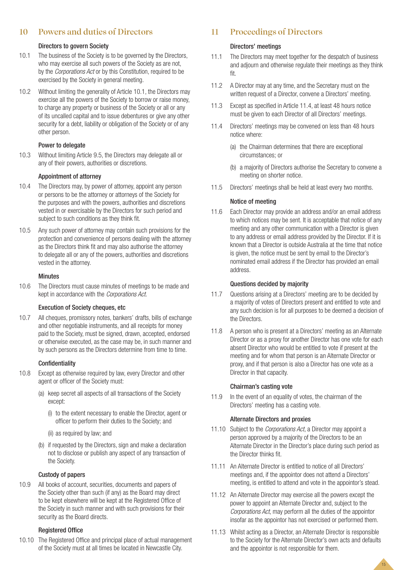# **10 Powers and duties of Directors**

# Directors to govern Society

- 10.1 The business of the Society is to be governed by the Directors, who may exercise all such powers of the Society as are not, by the *Corporations Act* or by this Constitution, required to be exercised by the Society in general meeting.
- 10.2 Without limiting the generality of Article 10.1, the Directors may exercise all the powers of the Society to borrow or raise money, to charge any property or business of the Society or all or any of its uncalled capital and to issue debentures or give any other security for a debt, liability or obligation of the Society or of any other person.

## Power to delegate

10.3 Without limiting Article 9.5, the Directors may delegate all or any of their powers, authorities or discretions.

# Appointment of attorney

- 10.4 The Directors may, by power of attorney, appoint any person or persons to be the attorney or attorneys of the Society for the purposes and with the powers, authorities and discretions vested in or exercisable by the Directors for such period and subject to such conditions as they think fit.
- 10.5 Any such power of attorney may contain such provisions for the protection and convenience of persons dealing with the attorney as the Directors think fit and may also authorise the attorney to delegate all or any of the powers, authorities and discretions vested in the attorney.

## **Minutes**

10.6 The Directors must cause minutes of meetings to be made and kept in accordance with the *Corporations Act*.

## Execution of Society cheques, etc

10.7 All cheques, promissory notes, bankers' drafts, bills of exchange and other negotiable instruments, and all receipts for money paid to the Society, must be signed, drawn, accepted, endorsed or otherwise executed, as the case may be, in such manner and by such persons as the Directors determine from time to time.

## Confidentiality

- 10.8 Except as otherwise required by law, every Director and other agent or officer of the Society must:
	- (a) keep secret all aspects of all transactions of the Society except:
		- (i) to the extent necessary to enable the Director, agent or officer to perform their duties to the Society; and
		- (ii) as required by law; and
	- (b) if requested by the Directors, sign and make a declaration not to disclose or publish any aspect of any transaction of the Society.

## Custody of papers

10.9 All books of account, securities, documents and papers of the Society other than such (if any) as the Board may direct to be kept elsewhere will be kept at the Registered Office of the Society in such manner and with such provisions for their security as the Board directs.

## Registered Office

10.10 The Registered Office and principal place of actual management of the Society must at all times be located in Newcastle City.

# **11 Proceedings of Directors**

## Directors' meetings

- 11.1 The Directors may meet together for the despatch of business and adjourn and otherwise regulate their meetings as they think fit.
- 11.2 A Director may at any time, and the Secretary must on the written request of a Director, convene a Directors' meeting.
- 11.3 Except as specified in Article 11.4, at least 48 hours notice must be given to each Director of all Directors' meetings.
- 11.4 Directors' meetings may be convened on less than 48 hours notice where:
	- (a) the Chairman determines that there are exceptional circumstances; or
	- (b) a majority of Directors authorise the Secretary to convene a meeting on shorter notice.
- 11.5 Directors' meetings shall be held at least every two months.

## Notice of meeting

11.6 Each Director may provide an address and/or an email address to which notices may be sent. It is acceptable that notice of any meeting and any other communication with a Director is given to any address or email address provided by the Director. If it is known that a Director is outside Australia at the time that notice is given, the notice must be sent by email to the Director's nominated email address if the Director has provided an email address.

#### Questions decided by majority

- 11.7 Questions arising at a Directors' meeting are to be decided by a majority of votes of Directors present and entitled to vote and any such decision is for all purposes to be deemed a decision of the Directors.
- 11.8 A person who is present at a Directors' meeting as an Alternate Director or as a proxy for another Director has one vote for each absent Director who would be entitled to vote if present at the meeting and for whom that person is an Alternate Director or proxy, and if that person is also a Director has one vote as a Director in that capacity.

#### Chairman's casting vote

11.9 In the event of an equality of votes, the chairman of the Directors' meeting has a casting vote.

#### Alternate Directors and proxies

- 11.10 Subject to the *Corporations Act*, a Director may appoint a person approved by a majority of the Directors to be an Alternate Director in the Director's place during such period as the Director thinks fit.
- 11.11 An Alternate Director is entitled to notice of all Directors' meetings and, if the appointor does not attend a Directors' meeting, is entitled to attend and vote in the appointor's stead.
- 11.12 An Alternate Director may exercise all the powers except the power to appoint an Alternate Director and, subject to the *Corporations Act*, may perform all the duties of the appointor insofar as the appointor has not exercised or performed them.
- 11.13 Whilst acting as a Director, an Alternate Director is responsible to the Society for the Alternate Director's own acts and defaults and the appointor is not responsible for them.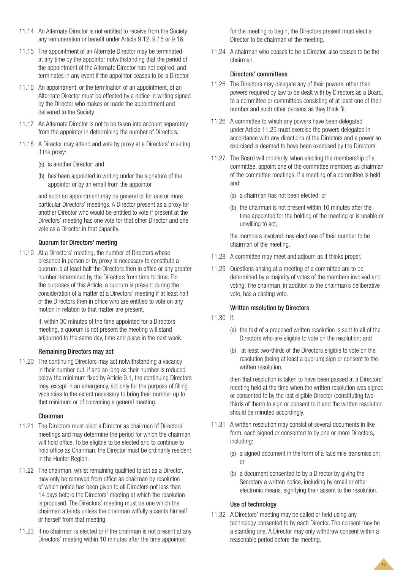- 11.14 An Alternate Director is not entitled to receive from the Society any remuneration or benefit under Article 9.12, 9.15 or 9.16.
- 11.15 The appointment of an Alternate Director may be terminated at any time by the appointor notwithstanding that the period of the appointment of the Alternate Director has not expired, and terminates in any event if the appointor ceases to be a Director.
- 11.16 An appointment, or the termination of an appointment, of an Alternate Director must be effected by a notice in writing signed by the Director who makes or made the appointment and delivered to the Society.
- 11.17 An Alternate Director is not to be taken into account separately from the appointor in determining the number of Directors.
- 11.18 A Director may attend and vote by proxy at a Directors' meeting if the proxy:
	- (a) is another Director; and
	- (b) has been appointed in writing under the signature of the appointor or by an email from the appointor,

and such an appointment may be general or for one or more particular Directors' meetings. A Director present as a proxy for another Director who would be entitled to vote if present at the Directors' meeting has one vote for that other Director and one vote as a Director in that capacity.

# Quorum for Directors' meeting

11.19 At a Directors' meeting, the number of Directors whose presence in person or by proxy is necessary to constitute a quorum is at least half the Directors then in office or any greater number determined by the Directors from time to time. For the purposes of this Article, a quorum is present during the consideration of a matter at a Directors' meeting if at least half of the Directors then in office who are entitled to vote on any motion in relation to that matter are present.

> If, within 30 minutes of the time appointed for a Directors' meeting, a quorum is not present the meeting will stand adjourned to the same day, time and place in the next week.

# Remaining Directors may act

11.20 The continuing Directors may act notwithstanding a vacancy in their number but, if and so long as their number is reduced below the minimum fixed by Article 9.1, the continuing Directors may, except in an emergency, act only for the purpose of filling vacancies to the extent necessary to bring their number up to that minimum or of convening a general meeting.

# Chairman

- 11.21 The Directors must elect a Director as chairman of Directors' meetings and may determine the period for which the chairman will hold office. To be eligible to be elected and to continue to hold office as Chairman, the Director must be ordinarily resident in the Hunter Region.
- 11.22 The chairman, whilst remaining qualified to act as a Director, may only be removed from office as chairman by resolution of which notice has been given to all Directors not less than 14 days before the Directors' meeting at which the resolution is proposed. The Directors' meeting must be one which the chairman attends unless the chairman wilfully absents himself or herself from that meeting.
- 11.23 If no chairman is elected or if the chairman is not present at any Directors' meeting within 10 minutes after the time appointed

for the meeting to begin, the Directors present must elect a Director to be chairman of the meeting.

11.24 A chairman who ceases to be a Director, also ceases to be the chairman.

## Directors' committees

- 11.25 The Directors may delegate any of their powers, other than powers required by law to be dealt with by Directors as a Board, to a committee or committees consisting of at least one of their number and such other persons as they think fit.
- 11.26 A committee to which any powers have been delegated under Article 11.25 must exercise the powers delegated in accordance with any directions of the Directors and a power so exercised is deemed to have been exercised by the Directors.
- 11.27 The Board will ordinarily, when electing the membership of a committee, appoint one of the committee members as chairman of the committee meetings. If a meeting of a committee is held and:
	- (a) a chairman has not been elected; or
	- (b) the chairman is not present within 10 minutes after the time appointed for the holding of the meeting or is unable or unwilling to act,

the members involved may elect one of their number to be chairman of the meeting.

- 11.28 A committee may meet and adjourn as it thinks proper.
- 11.29 Questions arising at a meeting of a committee are to be determined by a majority of votes of the members involved and voting. The chairman, in addition to the chairman's deliberative vote, has a casting vote.

# Written resolution by Directors

- 11.30 If:
	- (a) the text of a proposed written resolution is sent to all of the Directors who are eligible to vote on the resolution; and
	- (b) at least two-thirds of the Directors eligible to vote on the resolution (being at least a quorum) sign or consent to the written resolution,

then that resolution is taken to have been passed at a Directors' meeting held at the time when the written resolution was signed or consented to by the last eligible Director (constituting twothirds of them) to sign or consent to it and the written resolution should be minuted accordingly.

- 11.31 A written resolution may consist of several documents in like form, each signed or consented to by one or more Directors, including:
	- (a) a signed document in the form of a facsimile transmission; or
	- (b) a document consented to by a Director by giving the Secretary a written notice, including by email or other electronic means, signifying their assent to the resolution.

# Use of technology

11.32 A Directors' meeting may be called or held using any technology consented to by each Director. The consent may be a standing one. A Director may only withdraw consent within a reasonable period before the meeting.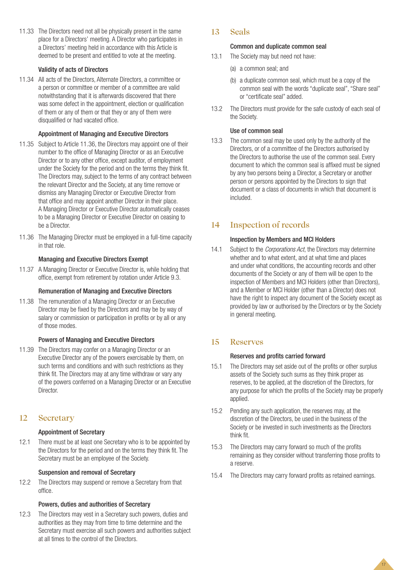11.33 The Directors need not all be physically present in the same place for a Directors' meeting. A Director who participates in a Directors' meeting held in accordance with this Article is deemed to be present and entitled to vote at the meeting.

# Validity of acts of Directors

11.34 All acts of the Directors, Alternate Directors, a committee or a person or committee or member of a committee are valid notwithstanding that it is afterwards discovered that there was some defect in the appointment, election or qualification of them or any of them or that they or any of them were disqualified or had vacated office.

# Appointment of Managing and Executive Directors

- 11.35 Subject to Article 11.36, the Directors may appoint one of their number to the office of Managing Director or as an Executive Director or to any other office, except auditor, of employment under the Society for the period and on the terms they think fit. The Directors may, subject to the terms of any contract between the relevant Director and the Society, at any time remove or dismiss any Managing Director or Executive Director from that office and may appoint another Director in their place. A Managing Director or Executive Director automatically ceases to be a Managing Director or Executive Director on ceasing to be a Director.
- 11.36 The Managing Director must be employed in a full-time capacity in that role.

# Managing and Executive Directors Exempt

11.37 A Managing Director or Executive Director is, while holding that office, exempt from retirement by rotation under Article 9.3.

# Remuneration of Managing and Executive Directors

11.38 The remuneration of a Managing Director or an Executive Director may be fixed by the Directors and may be by way of salary or commission or participation in profits or by all or any of those modes.

# Powers of Managing and Executive Directors

11.39 The Directors may confer on a Managing Director or an Executive Director any of the powers exercisable by them, on such terms and conditions and with such restrictions as they think fit. The Directors may at any time withdraw or vary any of the powers conferred on a Managing Director or an Executive Director.

# **12 Secretary**

# Appointment of Secretary

12.1 There must be at least one Secretary who is to be appointed by the Directors for the period and on the terms they think fit. The Secretary must be an employee of the Society.

# Suspension and removal of Secretary

12.2 The Directors may suspend or remove a Secretary from that office.

# Powers, duties and authorities of Secretary

12.3 The Directors may vest in a Secretary such powers, duties and authorities as they may from time to time determine and the Secretary must exercise all such powers and authorities subject at all times to the control of the Directors.

# **13 Seals**

## Common and duplicate common seal

- 13.1 The Society may but need not have:
	- (a) a common seal; and
	- (b) a duplicate common seal, which must be a copy of the common seal with the words "duplicate seal", "Share seal" or "certificate seal" added.
- 13.2 The Directors must provide for the safe custody of each seal of the Society.

# Use of common seal

13.3 The common seal may be used only by the authority of the Directors, or of a committee of the Directors authorised by the Directors to authorise the use of the common seal. Every document to which the common seal is affixed must be signed by any two persons being a Director, a Secretary or another person or persons appointed by the Directors to sign that document or a class of documents in which that document is included.

# **14 Inspection of records**

# Inspection by Members and MCI Holders

14.1 Subject to the *Corporations Act*, the Directors may determine whether and to what extent, and at what time and places and under what conditions, the accounting records and other documents of the Society or any of them will be open to the inspection of Members and MCI Holders (other than Directors), and a Member or MCI Holder (other than a Director) does not have the right to inspect any document of the Society except as provided by law or authorised by the Directors or by the Society in general meeting.

# **15 Reserves**

# Reserves and profits carried forward

- 15.1 The Directors may set aside out of the profits or other surplus assets of the Society such sums as they think proper as reserves, to be applied, at the discretion of the Directors, for any purpose for which the profits of the Society may be properly applied.
- 15.2 Pending any such application, the reserves may, at the discretion of the Directors, be used in the business of the Society or be invested in such investments as the Directors think fit.
- 15.3 The Directors may carry forward so much of the profits remaining as they consider without transferring those profits to a reserve.
- 15.4 The Directors may carry forward profits as retained earnings.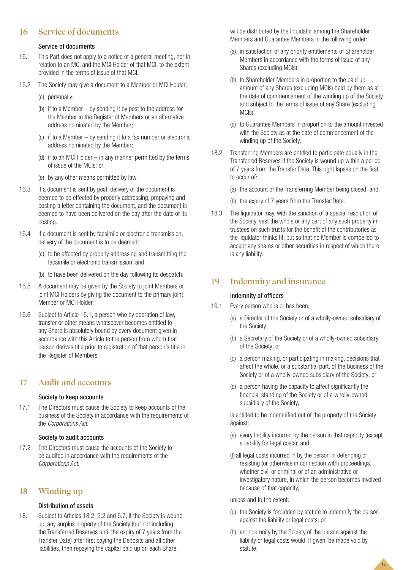# **16 Service of documents**

## Service of documents

- 16.1 This Part does not apply to a notice of a general meeting, nor in relation to an MCI and the MCI Holder of that MCI, to the extent provided in the terms of issue of that MCI.
- 16.2 The Society may give a document to a Member or MCI Holder:
	- (a) personally;
	- (b) if to a Member by sending it by post to the address for the Member in the Register of Members or an alternative address nominated by the Member;
	- (c) if to a Member by sending it to a fax number or electronic address nominated by the Member;
	- (d) if to an MCI Holder in any manner permitted by the terms of issue of the MCIs; or
	- (e) by any other means permitted by law.
- 16.3 If a document is sent by post, delivery of the document is deemed to be effected by properly addressing, prepaying and posting a letter containing the document, and the document is deemed to have been delivered on the day after the date of its posting.
- 16.4 If a document is sent by facsimile or electronic transmission, delivery of the document is to be deemed:
	- (a) to be effected by properly addressing and transmitting the facsimile or electronic transmission, and
	- (b) to have been delivered on the day following its despatch.
- 16.5 A document may be given by the Society to joint Members or joint MCI Holders by giving the document to the primary joint Member or MCI Holder.
- 16.6 Subject to Article 16.1, a person who by operation of law, transfer or other means whatsoever becomes entitled to any Share is absolutely bound by every document given in accordance with this Article to the person from whom that person derives title prior to registration of that person's title in the Register of Members.

# **17 Audit and accounts**

## Society to keep accounts

17.1 The Directors must cause the Society to keep accounts of the business of the Society in accordance with the requirements of the *Corporations Act*.

# Society to audit accounts

17.2 The Directors must cause the accounts of the Society to be audited in accordance with the requirements of the *Corporations Act*.

# **18 Winding up**

# Distribution of assets

18.1 Subject to Articles 18.2, 5.2 and 6.7, if the Society is wound up, any surplus property of the Society (but not including the Transferred Reserves until the expiry of 7 years from the Transfer Date) after first paying the Deposits and all other liabilities, then repaying the capital paid up on each Share,

will be distributed by the liquidator among the Shareholder Members and Guarantee Members in the following order:

- (a) in satisfaction of any priority entitlements of Shareholder Members in accordance with the terms of issue of any Shares (excluding MCIs);
- (b) to Shareholder Members in proportion to the paid up amount of any Shares (excluding MCIs) held by them as at the date of commencement of the winding up of the Society and subject to the terms of issue of any Share (excluding MCIs);
- (c) to Guarantee Members in proportion to the amount invested with the Society as at the date of commencement of the winding up of the Society.
- 18.2 Transferring Members are entitled to participate equally in the Transferred Reserves if the Society is wound up within a period of 7 years from the Transfer Date. This right lapses on the first to occur of:
	- (a) the account of the Transferring Member being closed; and
	- (b) the expiry of 7 years from the Transfer Date.
- 18.3 The liquidator may, with the sanction of a special resolution of the Society, vest the whole or any part of any such property in trustees on such trusts for the benefit of the contributories as the liquidator thinks fit, but so that no Member is compelled to accept any shares or other securities in respect of which there is any liability.

# **19 Indemnity and insurance**

# Indemnity of officers

- 19.1 Every person who is or has been:
	- (a) a Director of the Society or of a wholly-owned subsidiary of the Society;
	- (b) a Secretary of the Society or of a wholly-owned subsidiary of the Society; or
	- (c) a person making, or participating in making, decisions that affect the whole, or a substantial part, of the business of the Society or of a wholly-owned subsidiary of the Society; or
	- (d) a person having the capacity to affect significantly the financial standing of the Society or of a wholly-owned subsidiary of the Society,

is entitled to be indemnified out of the property of the Society against:

- (e) every liability incurred by the person in that capacity (except a liability for legal costs); and
- (f) all legal costs incurred in by the person in defending or resisting (or otherwise in connection with) proceedings, whether civil or criminal or of an administrative or investigatory nature, in which the person becomes involved because of that capacity,

## unless and to the extent:

(g) the Society is forbidden by statute to indemnify the person against the liability or legal costs; or

18

(h) an indemnity by the Society of the person against the liability or legal costs would, if given, be made void by statute.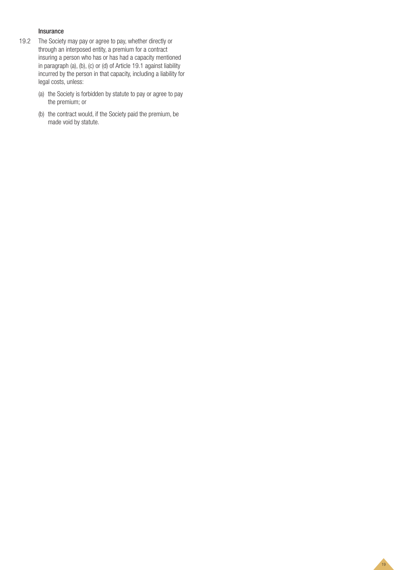# Insurance

- 19.2 The Society may pay or agree to pay, whether directly or through an interposed entity, a premium for a contract insuring a person who has or has had a capacity mentioned in paragraph (a), (b), (c) or (d) of Article 19.1 against liability incurred by the person in that capacity, including a liability for legal costs, unless:
	- (a) the Society is forbidden by statute to pay or agree to pay the premium; or
	- (b) the contract would, if the Society paid the premium, be made void by statute.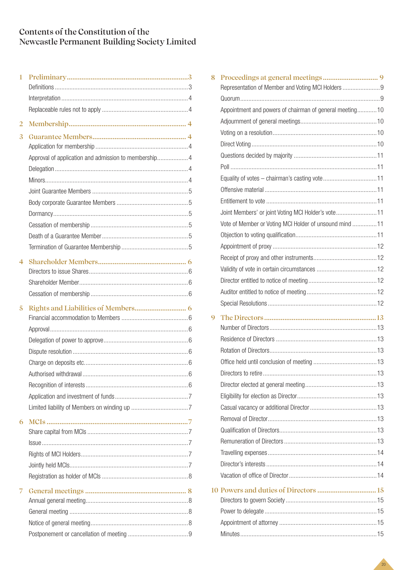# **Contents of the Constitution of the Newcastle Permanent Building Society Limited**

| $\mathbf{1}$   |                                                       |  |
|----------------|-------------------------------------------------------|--|
|                |                                                       |  |
|                |                                                       |  |
|                |                                                       |  |
| $\overline{2}$ |                                                       |  |
| 3              |                                                       |  |
|                |                                                       |  |
|                | Approval of application and admission to membership 4 |  |
|                |                                                       |  |
|                |                                                       |  |
|                |                                                       |  |
|                |                                                       |  |
|                |                                                       |  |
|                |                                                       |  |
|                |                                                       |  |
|                |                                                       |  |
| 4              |                                                       |  |
|                |                                                       |  |
|                |                                                       |  |
|                |                                                       |  |
| 5              |                                                       |  |
|                |                                                       |  |
|                |                                                       |  |
|                |                                                       |  |
|                |                                                       |  |
|                |                                                       |  |
|                |                                                       |  |
|                |                                                       |  |
|                |                                                       |  |
|                |                                                       |  |
| 6              |                                                       |  |
|                |                                                       |  |
|                |                                                       |  |
|                |                                                       |  |
|                |                                                       |  |
|                |                                                       |  |
| 7              |                                                       |  |
|                |                                                       |  |
|                |                                                       |  |
|                |                                                       |  |
|                |                                                       |  |

| 8 |                                                         |  |
|---|---------------------------------------------------------|--|
|   | Representation of Member and Voting MCI Holders         |  |
|   |                                                         |  |
|   | Appointment and powers of chairman of general meeting10 |  |
|   |                                                         |  |
|   |                                                         |  |
|   |                                                         |  |
|   |                                                         |  |
|   |                                                         |  |
|   |                                                         |  |
|   |                                                         |  |
|   |                                                         |  |
|   | Joint Members' or joint Voting MCI Holder's vote 11     |  |
|   | Vote of Member or Voting MCI Holder of unsound mind  11 |  |
|   |                                                         |  |
|   |                                                         |  |
|   |                                                         |  |
|   |                                                         |  |
|   |                                                         |  |
|   |                                                         |  |
|   |                                                         |  |
| 9 |                                                         |  |
|   |                                                         |  |
|   |                                                         |  |
|   |                                                         |  |
|   |                                                         |  |
|   |                                                         |  |
|   |                                                         |  |
|   |                                                         |  |
|   |                                                         |  |
|   |                                                         |  |
|   |                                                         |  |
|   |                                                         |  |
|   |                                                         |  |
|   |                                                         |  |
|   |                                                         |  |
|   |                                                         |  |
|   |                                                         |  |
|   |                                                         |  |
|   |                                                         |  |
|   |                                                         |  |
|   |                                                         |  |